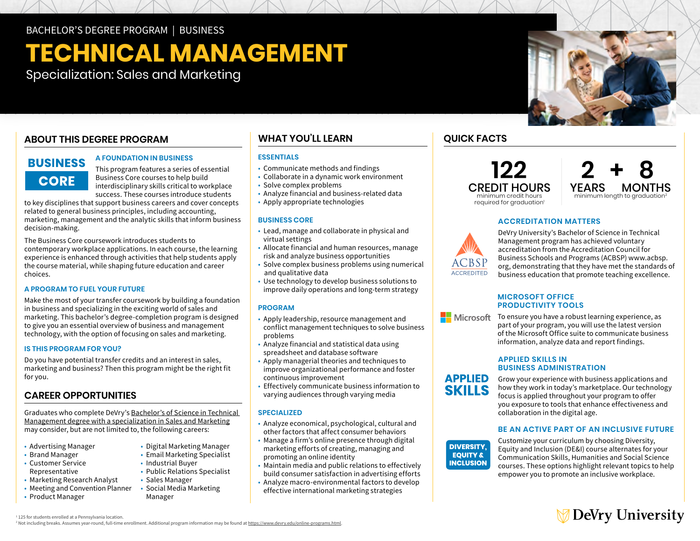BACHELOR'S DEGREE PROGRAM | BUSINESS

# **TECHNICAL MANAGEMENT**

Specialization: Sales and Marketing

# **ABOUT THIS DEGREE PROGRAM**

# **BUSINESS CORE**

#### **A FOUNDATION IN BUSINESS**

This program features a series of essential Business Core courses to help build interdisciplinary skills critical to workplace success. These courses introduce students

to key disciplines that support business careers and cover concepts related to general business principles, including accounting, marketing, management and the analytic skills that inform business decision-making.

 choices. The Business Core coursework introduces students to contemporary workplace applications. In each course, the learning experience is enhanced through activities that help students apply the course material, while shaping future education and career

#### **A PROGRAM TO FUEL YOUR FUTURE**

Make the most of your transfer coursework by building a foundation in business and specializing in the exciting world of sales and marketing. This bachelor's degree-completion program is designed to give you an essential overview of business and management technology, with the option of focusing on sales and marketing.

#### **IS THIS PROGRAM FOR YOU?**

Do you have potential transfer credits and an interest in sales, marketing and business? Then this program might be the right fit for you.

### **CAREER OPPORTUNITIES**

Graduates who complete DeVry's [Bachelor's of Science in Technical](https://www.devry.edu/online-programs/bachelors-degrees/business/sales-and-marketing-specialization.html)  [Management degree with a specialization in Sales and Marketing](https://www.devry.edu/online-programs/bachelors-degrees/business/sales-and-marketing-specialization.html)  may consider, but are not limited to, the following careers:

- Advertising Manager
- Brand Manager
- Customer Service Industrial Buyer Representative • Public Relations Specialist
- Marketing Research Analyst Sales Manager
- Meeting and Convention Planner Social Media Marketing
- Product Manager Manager

# **WHAT YOU'LL LEARN**

#### **ESSENTIALS**

- Communicate methods and findings
- Collaborate in a dynamic work environment
- Solve complex problems
- Analyze financial and business-related data
- Apply appropriate technologies

#### **BUSINESS CORE**

- • Lead, manage and collaborate in physical and virtual settings virtual settings • Allocate financial and human resources, manage
- risk and analyze business opportunities
- • Solve complex business problems using numerical and qualitative data
- • Use technology to develop business solutions to improve daily operations and long-term strategy

#### **PROGRAM**

- • Apply leadership, resource management and conflict management techniques to solve business problems
- • Analyze financial and statistical data using spreadsheet and database software
- • Apply managerial theories and techniques to improve organizational performance and foster continuous improvement
- • Effectively communicate business information to varying audiences through varying media

#### **SPECIALIZED**

- • Analyze economical, psychological, cultural and other factors that affect consumer behaviors
- • Manage a firm's online presence through digital marketing efforts of creating, managing and promoting an online identity
- • Maintain media and public relations to effectively build consumer satisfaction in advertising efforts
- • Analyze macro-environmental factors to develop effective international marketing strategies

## **QUICK FACTS**

required for graduation<sup>1</sup>



**ACCREDITATION MATTERS** 



DeVry University's Bachelor of Science in Technical Management program has achieved voluntary accreditation from the Accreditation Council for Business Schools and Programs (ACBSP) [www.acbsp.](http://www.acbsp.org) [org,](http://www.acbsp.org) demonstrating that they have met the standards of business education that promote teaching excellence.

#### **MICROSOFT OFFICE PRODUCTIVITY TOOLS**

 $\blacksquare$  Microsoft To ensure you have a robust learning experience, as part of your program, you will use the latest version of the Microsoft Office suite to communicate business information, analyze data and report findings.

#### **APPLIED SKILLS IN BUSINESS ADMINISTRATION**

**APPLIED** Grow your experience with business applications and how they work in today's marketplace. Our technology focus is applied throughout your program to offer you exposure to tools that enhance effectiveness and collaboration in the digital age.

#### **BE AN ACTIVE PART OF AN INCLUSIVE FUTURE**

**INCLUSION** 

**DIVERSITY, Customize your curriculum by choosing Diversity, Customize your curriculum by choosing Diversity,**  $\overline{E}$ Communication Skills, Humanities and Social Science courses. These options highlight relevant topics to help empower you to promote an inclusive workplace.



<sup>2</sup> Not including breaks. Assumes year-round, full-time enrollment. Additional program information may be found at https://www.devry.edu/online-programs.html

• Digital Marketing Manager • Email Marketing Specialist

<sup>1</sup> 125 for students enrolled at a Pennsylvania location.



**SKILLS**